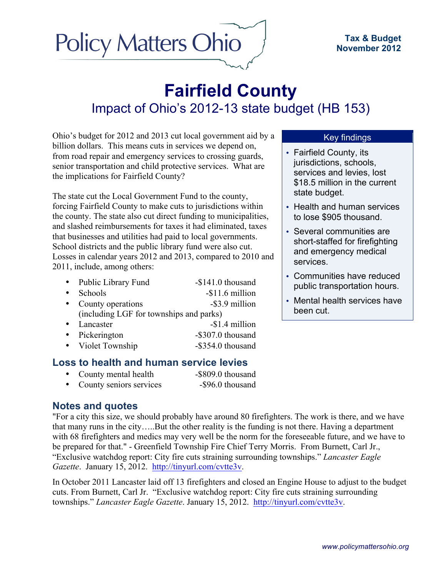# **Policy Matters Ohio**

## **Fairfield County** Impact of Ohio's 2012-13 state budget (HB 153)

Ohio's budget for 2012 and 2013 cut local government aid by a billion dollars. This means cuts in services we depend on, from road repair and emergency services to crossing guards, senior transportation and child protective services. What are the implications for Fairfield County?

The state cut the Local Government Fund to the county, forcing Fairfield County to make cuts to jurisdictions within the county. The state also cut direct funding to municipalities, and slashed reimbursements for taxes it had eliminated, taxes that businesses and utilities had paid to local governments. School districts and the public library fund were also cut. Losses in calendar years 2012 and 2013, compared to 2010 and 2011, include, among others:

- Public Library Fund -\$141.0 thousand
- Schools -\$11.6 million • County operations -\$3.9 million
- (including LGF for townships and parks)
- Lancaster -\$1.4 million • Pickerington -\$307.0 thousand
- Violet Township -\$354.0 thousand

### **Loss to health and human service levies**

• County mental health -\$809.0 thousand • County seniors services -\$96.0 thousand

### **Notes and quotes**

"For a city this size, we should probably have around 80 firefighters. The work is there, and we have that many runs in the city…..But the other reality is the funding is not there. Having a department with 68 firefighters and medics may very well be the norm for the foreseeable future, and we have to be prepared for that." - Greenfield Township Fire Chief Terry Morris. From Burnett, Carl Jr., "Exclusive watchdog report: City fire cuts straining surrounding townships." *Lancaster Eagle Gazette*. January 15, 2012. http://tinyurl.com/cvtte3v.

In October 2011 Lancaster laid off 13 firefighters and closed an Engine House to adjust to the budget cuts. From Burnett, Carl Jr. "Exclusive watchdog report: City fire cuts straining surrounding townships." *Lancaster Eagle Gazette*. January 15, 2012. http://tinyurl.com/cvtte3v.

#### Key findings

- Fairfield County, its jurisdictions, schools, services and levies, lost \$18.5 million in the current state budget.
- Health and human services to lose \$905 thousand.
- Several communities are short-staffed for firefighting and emergency medical services.
- Communities have reduced public transportation hours.
- Mental health services have been cut.